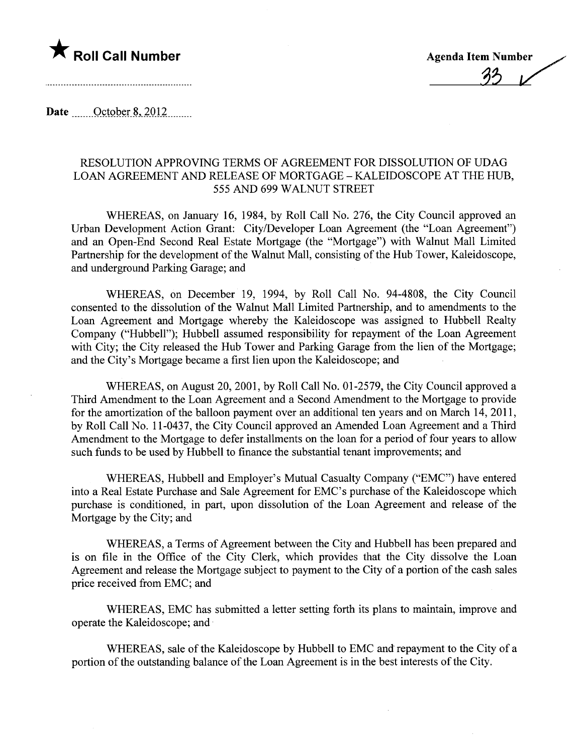

.~~

Date  $\qquad$  October 8, 2012

## RESOLUTION APPROVING TERMS OF AGREEMENT FOR DISSOLUTION OF UDAG LOAN AGREEMENT AND RELEASE OF MORTGAGE - KALEIDOSCOPE AT THE HUB, 555 AND 699 WALNUT STREET

WHEREAS, on January 16, 1984, by Roll Call No. 276, the City Council approved an Urban Development Action Grant: City/Developer Loan Agreement (the "Loan Agreement") and an Open-End Second Real Estate Mortgage (the "Mortgage") with Walnut Mall Limited Partnership for the development of the Walnut Mall, consisting of the Hub Tower, Kaleidoscope, and underground Parking Garage; and

WHEREAS, on December 19, 1994, by Roll Call No. 94-4808, the City Council consented to the dissolution of the Walnut Mall Limited Partnership, and to amendments to the Loan Agreement and Mortgage whereby the Kaleidoscope was assigned to Hubbell Realty Company ("Hubbell"); Hubbell assumed responsibility for repayment of the Loan Agreement with City; the City released the Hub Tower and Parking Garage from the lien of the Mortgage; and the City's Mortgage became a first lien upon the Kaleidoscope; and

WHEREAS, on August 20,2001, by Roll Call No. 01-2579, the City Council approved a Third Amendment to the Loan Agreement and a Second Amendment to the Mortgage to provide for the amortization of the balloon payment over an additional ten years and on March 14,2011, by Roll Call No. 11-0437, the City Council approved an Amended Loan Agreement and a Third Amendment to the Mortgage to defer installments on the loan for a period of four years to allow such funds to be used by Hubbell to finance the substantial tenant improvements; and

WHEREAS, Hubbell and Employer's Mutual Casualty Company ("EMC") have entered into a Real Estate Purchase and Sale Agreement for EMC's purchase of the Kaleidoscope which purchase is conditioned, in par, upon dissolution of the Loan Agreement and release of the Mortgage by the City; and

WHEREAS, a Terms of Agreement between the City and Hubbell has been prepared and is on file in the Office of the City Clerk, which provides that the City dissolve the Loan Agreement and release the Mortgage subject to payment to the City of a portion of the cash sales price received from EMC; and

WHEREAS, EMC has submitted a letter setting forth its plans to maintain, improve and operate the Kaleidoscope; and .

WHEREAS, sale of the Kaleidoscope by Hubbell to EMC and repayment to the City of a portion of the outstanding balance of the Loan Agreement is in the best interests of the City.